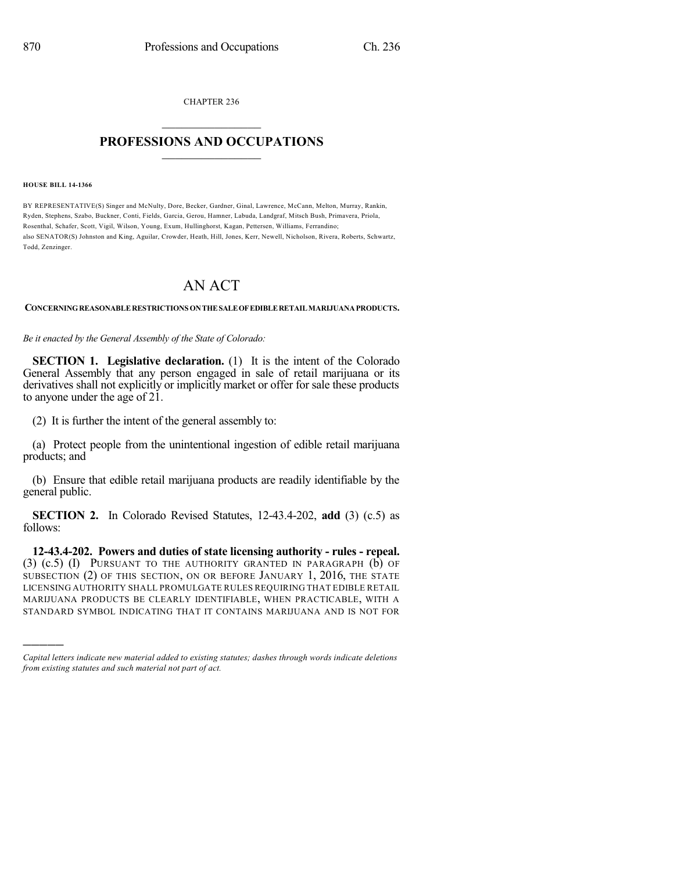CHAPTER 236  $\mathcal{L}_\text{max}$  . The set of the set of the set of the set of the set of the set of the set of the set of the set of the set of the set of the set of the set of the set of the set of the set of the set of the set of the set

## **PROFESSIONS AND OCCUPATIONS**  $\frac{1}{2}$  ,  $\frac{1}{2}$  ,  $\frac{1}{2}$  ,  $\frac{1}{2}$  ,  $\frac{1}{2}$  ,  $\frac{1}{2}$  ,  $\frac{1}{2}$

## **HOUSE BILL 14-1366**

)))))

BY REPRESENTATIVE(S) Singer and McNulty, Dore, Becker, Gardner, Ginal, Lawrence, McCann, Melton, Murray, Rankin, Ryden, Stephens, Szabo, Buckner, Conti, Fields, Garcia, Gerou, Hamner, Labuda, Landgraf, Mitsch Bush, Primavera, Priola, Rosenthal, Schafer, Scott, Vigil, Wilson, Young, Exum, Hullinghorst, Kagan, Pettersen, Williams, Ferrandino; also SENATOR(S) Johnston and King, Aguilar, Crowder, Heath, Hill, Jones, Kerr, Newell, Nicholson, Rivera, Roberts, Schwartz, Todd, Zenzinger.

## AN ACT

**CONCERNINGREASONABLERESTRICTIONS ONTHESALEOFEDIBLERETAILMARIJUANAPRODUCTS.**

*Be it enacted by the General Assembly of the State of Colorado:*

**SECTION 1. Legislative declaration.** (1) It is the intent of the Colorado General Assembly that any person engaged in sale of retail marijuana or its derivatives shall not explicitly or implicitly market or offer for sale these products to anyone under the age of 21.

(2) It is further the intent of the general assembly to:

(a) Protect people from the unintentional ingestion of edible retail marijuana products; and

(b) Ensure that edible retail marijuana products are readily identifiable by the general public.

**SECTION 2.** In Colorado Revised Statutes, 12-43.4-202, **add** (3) (c.5) as follows:

**12-43.4-202. Powers and duties of state licensing authority - rules - repeal.** (3) (c.5) (I) PURSUANT TO THE AUTHORITY GRANTED IN PARAGRAPH (b) OF SUBSECTION (2) OF THIS SECTION, ON OR BEFORE JANUARY 1, 2016, THE STATE LICENSING AUTHORITY SHALL PROMULGATE RULES REQUIRING THAT EDIBLE RETAIL MARIJUANA PRODUCTS BE CLEARLY IDENTIFIABLE, WHEN PRACTICABLE, WITH A STANDARD SYMBOL INDICATING THAT IT CONTAINS MARIJUANA AND IS NOT FOR

*Capital letters indicate new material added to existing statutes; dashes through words indicate deletions from existing statutes and such material not part of act.*